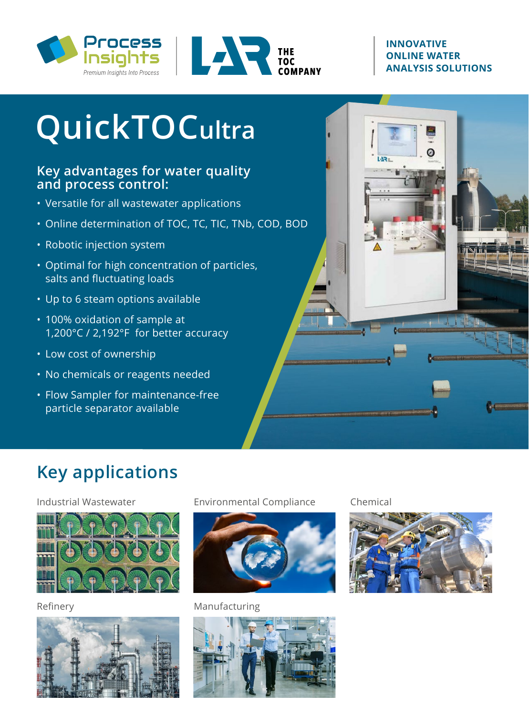



#### **INNOVATIVE ONLINE WATER ANALYSIS SOLUTIONS**

Ø

 $147x$ 

# **QuickTOCultra**

#### **Key advantages for water quality and process control:**

- Versatile for all wastewater applications
- Online determination of TOC, TC, TIC, TNb, COD, BOD
- Robotic injection system
- Optimal for high concentration of particles, salts and fluctuating loads
- Up to 6 steam options available
- 100% oxidation of sample at 1,200°C / 2,192°F for better accuracy
- Low cost of ownership
- No chemicals or reagents needed
- Flow Sampler for maintenance-free particle separator available

# **Key applications**

#### Industrial Wastewater



Refinery



Environmental Compliance



Manufacturing



Chemical